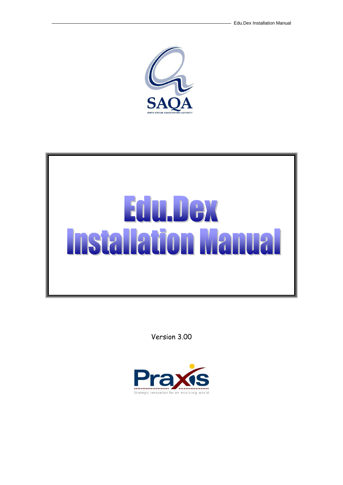



Version 3.00

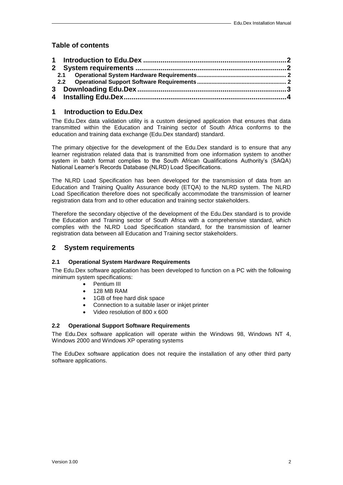# **Table of contents**

## <span id="page-1-0"></span>**1 Introduction to Edu.Dex**

The Edu.Dex data validation utility is a custom designed application that ensures that data transmitted within the Education and Training sector of South Africa conforms to the education and training data exchange (Edu.Dex standard) standard.

The primary objective for the development of the Edu.Dex standard is to ensure that any learner registration related data that is transmitted from one information system to another system in batch format complies to the South African Qualifications Authority's (SAQA) National Learner's Records Database (NLRD) Load Specifications.

The NLRD Load Specification has been developed for the transmission of data from an Education and Training Quality Assurance body (ETQA) to the NLRD system. The NLRD Load Specification therefore does not specifically accommodate the transmission of learner registration data from and to other education and training sector stakeholders.

Therefore the secondary objective of the development of the Edu.Dex standard is to provide the Education and Training sector of South Africa with a comprehensive standard, which complies with the NLRD Load Specification standard, for the transmission of learner registration data between all Education and Training sector stakeholders.

## <span id="page-1-1"></span>**2 System requirements**

#### <span id="page-1-2"></span>**2.1 Operational System Hardware Requirements**

The Edu.Dex software application has been developed to function on a PC with the following minimum system specifications:

- **•** Pentium III
- 128 MB RAM
- 1GB of free hard disk space
- Connection to a suitable laser or inkjet printer
- Video resolution of 800 x 600

#### <span id="page-1-3"></span>**2.2 Operational Support Software Requirements**

The Edu.Dex software application will operate within the Windows 98, Windows NT 4, Windows 2000 and Windows XP operating systems

The EduDex software application does not require the installation of any other third party software applications.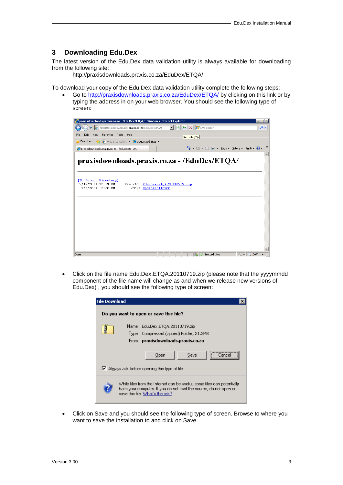#### <span id="page-2-0"></span>**3 Downloading Edu.Dex**

The latest version of the Edu.Dex data validation utility is always available for downloading from the following site:

http://praxisdownloads.praxis.co.za/EduDex/ETQA/

To download your copy of the Edu.Dex data validation utility complete the following steps:

 Go to<http://praxisdownloads.praxis.co.za/EduDex/ETQA/> by clicking on this link or by typing the address in on your web browser. You should see the following type of screen:



 Click on the file name Edu.Dex.ETQA.20110719.zip (please note that the yyyymmdd component of the file name will change as and when we release new versions of Edu.Dex) , you should see the following type of screen:



 Click on Save and you should see the following type of screen. Browse to where you want to save the installation to and click on Save.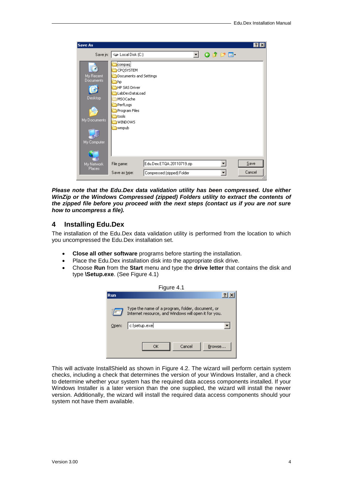| <b>Save As</b>                                                   |                                                                                                                                                                         | ? x    |
|------------------------------------------------------------------|-------------------------------------------------------------------------------------------------------------------------------------------------------------------------|--------|
|                                                                  | Save in: $\blacktriangleleft$ Local Disk (C:)<br>$O$ $D$ $P$ $E$                                                                                                        |        |
| My Recent<br>Documents<br>Desktop<br>My Documents<br>My Computer | tcompagj<br>CPQSYSTEM<br>Documents and Settings<br>∃hp<br><b>HP SAS Driver</b><br>LabDexDataLoad<br>MSOCache<br>PerfLogs<br>Program Files<br>itools<br>WINDOWS<br>wmpub |        |
| My Network                                                       | $\overline{\phantom{a}}$<br>Edu.Dex.ETQA.20110719.zip<br>File name:                                                                                                     | Save   |
| <b>Places</b>                                                    | Save as type:<br>Compressed (zipped) Folder<br>▼                                                                                                                        | Cancel |

*Please note that the Edu.Dex data validation utility has been compressed. Use either WinZip or the Windows Compressed (zipped) Folders utility to extract the contents of the zipped file before you proceed with the next steps (contact us if you are not sure how to uncompress a file).*

### <span id="page-3-0"></span>**4 Installing Edu.Dex**

The installation of the Edu.Dex data validation utility is performed from the location to which you uncompressed the Edu.Dex installation set.

- **Close all other software** programs before starting the installation.
- Place the Edu.Dex installation disk into the appropriate disk drive.
- Choose **Run** from the **Start** menu and type the **drive letter** that contains the disk and type **\Setup.exe**. (See Figure 4.1)

| Figure 4.1 |                                                                                                          |  |  |  |
|------------|----------------------------------------------------------------------------------------------------------|--|--|--|
| <b>Run</b> |                                                                                                          |  |  |  |
|            | Type the name of a program, folder, document, or<br>Internet resource, and Windows will open it for you. |  |  |  |
| Open:      | c:\setup.exe                                                                                             |  |  |  |
|            | Cancel<br>ОK<br>Browse                                                                                   |  |  |  |

This will activate InstallShield as shown in Figure 4.2. The wizard will perform certain system checks, including a check that determines the version of your Windows Installer, and a check to determine whether your system has the required data access components installed. If your Windows Installer is a later version than the one supplied, the wizard will install the newer version. Additionally, the wizard will install the required data access components should your system not have them available.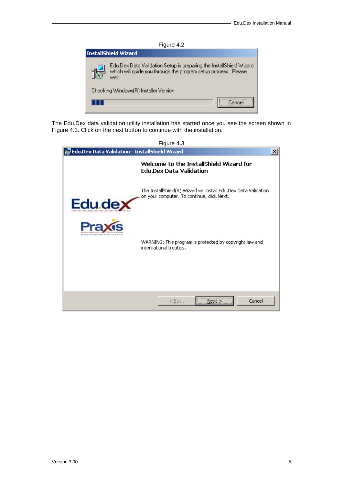

The Edu.Dex data validation utility installation has started once you see the screen shown in Figure 4.3. Click on the next button to continue with the installation.

| <b>Post Constants Constants Constants Constants</b>                       | Figure 4.3                                                                                                     |  |
|---------------------------------------------------------------------------|----------------------------------------------------------------------------------------------------------------|--|
| Welcome to the InstallShield Wizard for<br><b>Edu.Dex Data Validation</b> |                                                                                                                |  |
| Edu.de                                                                    | The InstallShield(R) Wizard will install Edu.Dex Data Validation<br>on your computer. To continue, click Next. |  |
|                                                                           | WARNING: This program is protected by copyright law and<br>international treaties.                             |  |
|                                                                           | <br>Cancel<br>$<$ Back<br>Next                                                                                 |  |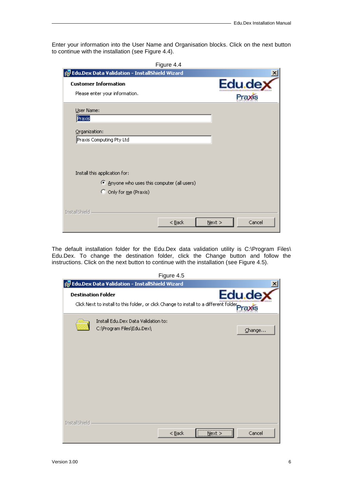Enter your information into the User Name and Organisation blocks. Click on the next button to continue with the installation (see Figure 4.4).

| <b>For Edu.Dex Data Validation - InstallShield Wizard</b>                  |                   |
|----------------------------------------------------------------------------|-------------------|
| <b>Customer Information</b><br>Please enter your information.              | Edu.dex<br>Praxis |
| User Name:<br>Praxis                                                       |                   |
| Organization:<br>Praxis Computing Pty Ltd                                  |                   |
| Install this application for:<br>Anyone who uses this computer (all users) |                   |
| O Only for me (Praxis)<br>InstallShield                                    |                   |

The default installation folder for the Edu.Dex data validation utility is C:\Program Files\ Edu.Dex. To change the destination folder, click the Change button and follow the instructions. Click on the next button to continue with the installation (see Figure 4.5).

|                                                                                                                          | Figure 4.5 |            |         |
|--------------------------------------------------------------------------------------------------------------------------|------------|------------|---------|
| 侵 Edu.Dex Data Validation - InstallShield Wizard                                                                         |            |            |         |
| <b>Destination Folder</b><br>Click Next to install to this folder, or click Change to install to a different folder Pray |            |            | Edu.dex |
| Install Edu.Dex Data Validation to:<br>C:\Program Files\Edu.Dex\                                                         |            |            | Change  |
| InstallShield                                                                                                            | $<$ Back   | <br>Next > | Cancel  |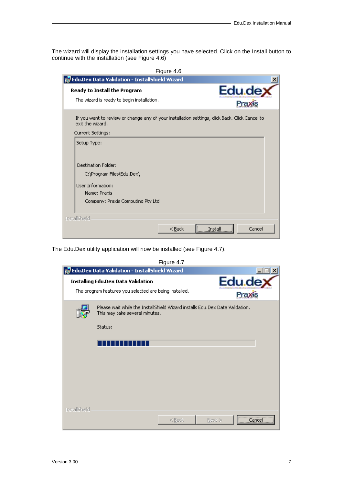The wizard will display the installation settings you have selected. Click on the Install button to continue with the installation (see Figure 4.6)

| Edu.de                                                                                         |
|------------------------------------------------------------------------------------------------|
|                                                                                                |
| If you want to review or change any of your installation settings, click Back. Click Cancel to |
|                                                                                                |
|                                                                                                |
|                                                                                                |
|                                                                                                |
|                                                                                                |
|                                                                                                |
|                                                                                                |
|                                                                                                |
|                                                                                                |
|                                                                                                |
| Cancel                                                                                         |
|                                                                                                |

The Edu.Dex utility application will now be installed (see Figure 4.7).

|                                                                                                     |                                                                                                                | Figure 4.7 |                         |
|-----------------------------------------------------------------------------------------------------|----------------------------------------------------------------------------------------------------------------|------------|-------------------------|
|                                                                                                     | <b>For Edu.Dex Data Validation - InstallShield Wizard</b>                                                      |            | $\vert$ X               |
| <b>Installing Edu.Dex Data Validation</b><br>The program features you selected are being installed. |                                                                                                                |            | Edu.de<br><b>Praxis</b> |
|                                                                                                     | Please wait while the InstallShield Wizard installs Edu.Dex Data Validation.<br>This may take several minutes. |            |                         |
|                                                                                                     | Status:                                                                                                        |            |                         |
|                                                                                                     |                                                                                                                |            |                         |
|                                                                                                     |                                                                                                                |            |                         |
|                                                                                                     |                                                                                                                |            |                         |
| InstallShield                                                                                       |                                                                                                                |            |                         |
|                                                                                                     |                                                                                                                | $<$ Back   | <br>Next ><br>lance     |